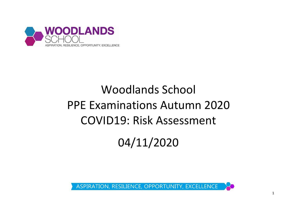

## Woodlands School PPE Examinations Autumn 2020 COVID19: Risk Assessment

04/11/2020

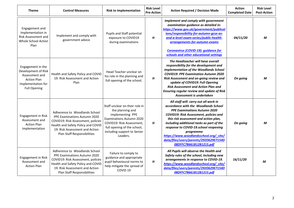| <b>Theme</b>                                                                                                                  | <b>Control Measures</b>                                                                                                                                                                                           | <b>Risk to Implementation</b>                                                                                                                                                                                    | <b>Risk Level</b><br><b>Pre-Action</b> | <b>Action Required / Decision Made</b>                                                                                                                                                                                                                                                                                                                                                                                    | <b>Action</b><br><b>Completed Date</b> | <b>Risk Level</b><br><b>Post-Action</b> |
|-------------------------------------------------------------------------------------------------------------------------------|-------------------------------------------------------------------------------------------------------------------------------------------------------------------------------------------------------------------|------------------------------------------------------------------------------------------------------------------------------------------------------------------------------------------------------------------|----------------------------------------|---------------------------------------------------------------------------------------------------------------------------------------------------------------------------------------------------------------------------------------------------------------------------------------------------------------------------------------------------------------------------------------------------------------------------|----------------------------------------|-----------------------------------------|
| Engagement and<br>Implementation in<br><b>Risk Assessment and</b><br>Whole School Action<br>Plan                              | Implement and comply with<br>government advice                                                                                                                                                                    | Pupils and Staff potential<br>exposure to COVID19<br>during examinations                                                                                                                                         | H                                      | Implement and comply with government<br>examination guidance as detailed in:<br>https://www.gov.uk/government/publicat<br>ions/responsibility-for-autumn-gcse-as-<br>and-a-level-exam-series/public-health-<br>arrangements-for-autumn-exams<br><b>Coronavirus (COVID-19): guidance for</b><br>schools and other educational settings                                                                                     | 04/11/20                               | м                                       |
| Engagement in the<br>Development of Risk<br>Assessment and<br><b>Action Plan</b><br>Implementation for<br><b>Full Opening</b> | Health and Safety Policy and COVID<br>19: Risk Assessment and Action<br>Plan                                                                                                                                      | Head Teacher unclear on<br>his role in the planning and<br>full opening of the school.                                                                                                                           | H                                      | The Headteacher will have overall<br>responsibility for the development and<br>implementation of the Woodlands School<br><b>COVID19: PPE Examination Autumn 2020</b><br>Risk Assessment and on-going review and<br>update of COVID19: Full Opening<br><b>Risk Assessment and Action Plan and</b><br><b>Ensuring regular review and update of Risk</b><br>Assessment is undertaken                                         | On going                               | М                                       |
| Engagement in Risk<br>Assessment and<br><b>Action Plan</b><br>Implementation                                                  | Adherence to Woodlands School<br>PPE Examinations Autumn 2020<br>COVID19: Risk Assessment, policies<br>Health and Safety Policy and COVID<br>19: Risk Assessment and Action<br>Plan Staff Responsibilities        | Staff unclear on their role in<br>the planning and<br>implementing PPE<br><b>Examinations Autumn 2020</b><br>COVID19: Risk Assessment,<br>full opening of the school,<br>including support to Senior<br>Leaders. | H                                      | All staff will: carry out all work in<br>accordance with the Woodlands School<br><b>PPE Examinations Autumn 2020</b><br>COVID19: Risk Assessment, policies and<br>this risk assessment and action plan,<br>including additional tasks as part of the<br>response to COVID-19.school reopening<br>programme<br>https://www.woodlandsschool.org/_site/<br>data/files/users/parents/292D629E7154D<br>08DFFC7B661B12B1215.pdf | On going                               | М                                       |
| Engagement in Risk<br>Assessment and<br><b>Action Plan</b>                                                                    | Adherence to Woodlands School<br><b>PPE Examinations Autumn 2020</b><br>COVID19: Risk Assessment, policies<br>Health and Safety Policy and COVID<br>19: Risk Assessment and Action<br>Plan Staff Responsibilities | Failure to comply to<br>guidance and appropriate<br>pupil behavioural norms to<br>help mitigate the spread of<br>COVID <sub>19</sub>                                                                             | H                                      | All Pupils will observe the Health and<br>Safety rules of the school, including new<br>arrangements in response to COVID-19.<br>https://www.woodlandsschool.org/_site/<br>data/files/users/parents/292D629E7154D<br>08DFFC7B661B12B1215.pdf                                                                                                                                                                               | 16/11/20                               | M                                       |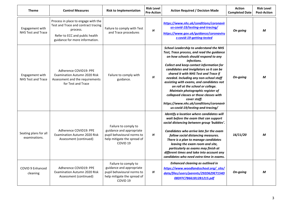| <b>Theme</b>                                 | <b>Control Measures</b>                                                                                                                                    | <b>Risk to Implementation</b>                                                                                                        | <b>Risk Level</b><br><b>Pre-Action</b> | <b>Action Required / Decision Made</b>                                                                                                                                                                                                                                                                                                                                                                                                                                                                                                                                                        | <b>Action</b><br><b>Completed Date</b> | <b>Risk Level</b><br><b>Post-Action</b> |
|----------------------------------------------|------------------------------------------------------------------------------------------------------------------------------------------------------------|--------------------------------------------------------------------------------------------------------------------------------------|----------------------------------------|-----------------------------------------------------------------------------------------------------------------------------------------------------------------------------------------------------------------------------------------------------------------------------------------------------------------------------------------------------------------------------------------------------------------------------------------------------------------------------------------------------------------------------------------------------------------------------------------------|----------------------------------------|-----------------------------------------|
| Engagement with<br><b>NHS Test and Trace</b> | Process in place to engage with the<br>Test and Trace and contract tracing<br>process.<br>Refer to ECC and public health<br>guidance for more information. | Failure to comply with Test<br>and Trace procedures                                                                                  | $\boldsymbol{H}$                       | https://www.nhs.uk/conditions/coronavir<br>us-covid-19/testing-and-tracing/<br>https://www.gov.uk/guidance/coronaviru<br>s-covid-19-getting-tested                                                                                                                                                                                                                                                                                                                                                                                                                                            | On going                               | M                                       |
| Engagement with<br>NHS Test and Trace        | Adherence COVID19: PPE<br>Examination Autumn 2020 Risk<br>Assessment and the requirements<br>for Test and Trace                                            | Failure to comply with<br>guidance.                                                                                                  | H                                      | <b>School Leadership to understand the NHS</b><br>Test, Trace process, and read the guidance<br>on how schools should respond to any<br>infections.<br>Collect and keep contact information for<br>candidates and invigilators so it can be<br>shared it with NHS Test and Trace if<br>needed. Including any non-school staff<br>assisting with exams, and candidates not<br>on roll at the school or college.<br>Maintain photographic register of<br>collapsed classes or those classes with<br>cover staff.<br>https://www.nhs.uk/conditions/coronavir<br>us-covid-19/testing-and-tracing/ | On-going                               | M                                       |
| Seating plans for all<br>examinations.       | Adherence COVID19: PPE<br>Examination Autumn 2020 Risk<br>Assessment (continued)                                                                           | Failure to comply to<br>guidance and appropriate<br>pupil behavioural norms to<br>help mitigate the spread of<br>COVID <sub>19</sub> | Н                                      | Identify a location where candidates will<br>wait before the exam that can support<br>social distancing between group 'bubbles'.<br>Candidates who arrive late for the exam<br>follow social distancing measures.<br>There is a plan to manage candidates<br>leaving the exam room and site,<br>particularly as exams may finish at<br>different times and take into account any<br>candidates who need extra time in exams.                                                                                                                                                                  | 16/11/20                               | M                                       |
| COVID 9 Enhanced<br>cleaning                 | Adherence COVID19: PPE<br>Examination Autumn 2020 Risk<br>Assessment (continued)                                                                           | Failure to comply to<br>guidance and appropriate<br>pupil behavioural norms to<br>help mitigate the spread of<br>COVID <sub>19</sub> | H                                      | Enhanced cleaning as outlined in<br>https://www.woodlandsschool.org/_site/<br>data/files/users/parents/292D629E7154D<br>08DFFC7B661B12B1215.pdf                                                                                                                                                                                                                                                                                                                                                                                                                                               | On-going                               | M                                       |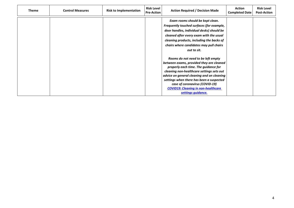| <b>Theme</b> | <b>Control Measures</b> | <b>Risk to Implementation</b> | <b>Risk Level</b><br><b>Pre-Action</b> | <b>Action Required / Decision Made</b>                                                                                                                                                                                                                                                                                                                                                                                                                                                                                                                                                                                                              | <b>Action</b><br>Completed Date | <b>Risk Level</b><br><b>Post-Action</b> |
|--------------|-------------------------|-------------------------------|----------------------------------------|-----------------------------------------------------------------------------------------------------------------------------------------------------------------------------------------------------------------------------------------------------------------------------------------------------------------------------------------------------------------------------------------------------------------------------------------------------------------------------------------------------------------------------------------------------------------------------------------------------------------------------------------------------|---------------------------------|-----------------------------------------|
|              |                         |                               |                                        | Exam rooms should be kept clean.<br>Frequently touched surfaces (for example,<br>door handles, individual desks) should be<br>cleaned after every exam with the usual<br>cleaning products, including the backs of<br>chairs where candidates may pull chairs<br>out to sit.<br>Rooms do not need to be left empty<br>between exams, provided they are cleaned<br>properly each time. The guidance for<br>cleaning non-healthcare settings sets out<br>advice on general cleaning and on cleaning<br>settings when there has been a suspected<br>case of coronavirus (COVID-19)<br><b>COVID19: Cleaning in non-healthcare</b><br>settings guidance. |                                 |                                         |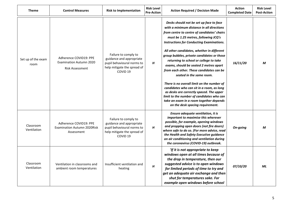| <b>Theme</b>               | <b>Control Measures</b>                                                            | <b>Risk to Implementation</b>                                                                                                        | <b>Risk Level</b><br><b>Pre-Action</b> | <b>Action Required / Decision Made</b>                                                                                                                                                                                                                                                                                                                                                                                                                                                                                                                                                                                                                                                                                                                     | <b>Action</b><br><b>Completed Date</b> | <b>Risk Level</b><br><b>Post-Action</b> |
|----------------------------|------------------------------------------------------------------------------------|--------------------------------------------------------------------------------------------------------------------------------------|----------------------------------------|------------------------------------------------------------------------------------------------------------------------------------------------------------------------------------------------------------------------------------------------------------------------------------------------------------------------------------------------------------------------------------------------------------------------------------------------------------------------------------------------------------------------------------------------------------------------------------------------------------------------------------------------------------------------------------------------------------------------------------------------------------|----------------------------------------|-----------------------------------------|
| Set up of the exam<br>room | Adherence COVID19: PPE<br><b>Examination Autumn 2020</b><br><b>Risk Assessment</b> | Failure to comply to<br>guidance and appropriate<br>pupil behavioural norms to<br>help mitigate the spread of<br>COVID <sub>19</sub> | H                                      | Desks should not be set up face to face<br>with a minimum distance in all directions<br>from centre to centre of candidates' chairs<br>must be 1.25 metres, following JCQ's<br><b>Instructions for Conducting Examinations.</b><br>All other candidates, whether in different<br>group bubbles, private candidates or those<br>returning to school or college to take<br>exams, should be seated 2 metres apart<br>from each other. These candidates can be<br>seated in the same room.<br>There is no overall limit on the number of<br>candidates who can sit in a room, as long<br>as desks are correctly spaced. The upper<br>limit to the number of candidates who can<br>take an exam in a room together depends<br>on the desk spacing requirement. | 16/11/20                               | М                                       |
| Classroom<br>Ventilation   | Adherence COVID19: PPE<br>Examination Autumn 2020Risk<br>Assessment                | Failure to comply to<br>guidance and appropriate<br>pupil behavioural norms to<br>help mitigate the spread of<br>COVID <sub>19</sub> | H                                      | Ensure adequate ventilation, it is<br>important to maximise this wherever<br>possible, for example, opening windows<br>and propping open doors (not fire doors)<br>where safe to do so. (For more advice, read<br>the Health and Safety Executive guidance<br>on air conditioning and ventilation during<br>the coronavirus (COVID-19) outbreak.                                                                                                                                                                                                                                                                                                                                                                                                           | On-going                               | M                                       |
| Classroom<br>Ventilation   | Ventilation in classrooms and<br>ambient room temperatures                         | Insufficient ventilation and<br>heating                                                                                              | H                                      | 'If it is not appropriate to keep<br>windows open at all times because of<br>the drop in temperature, then our<br>suggested advice is to open windows<br>for limited periods of time to try and<br>get an adequate air exchange and then<br>shut for temperatures sake. For<br>example open windows before school                                                                                                                                                                                                                                                                                                                                                                                                                                          | 07/10/20                               | <b>ML</b>                               |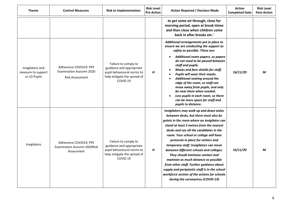| <b>Theme</b>                                           | <b>Control Measures</b>                                                            | <b>Risk to Implementation</b>                                                                                                        | <b>Risk Level</b><br><b>Pre-Action</b> | <b>Action Required / Decision Made</b>                                                                                                                                                                                                                                                                                                                                                                                                                                                                                                                                                                                                                       | <b>Action</b><br><b>Completed Date</b> | <b>Risk Level</b><br><b>Post-Action</b> |
|--------------------------------------------------------|------------------------------------------------------------------------------------|--------------------------------------------------------------------------------------------------------------------------------------|----------------------------------------|--------------------------------------------------------------------------------------------------------------------------------------------------------------------------------------------------------------------------------------------------------------------------------------------------------------------------------------------------------------------------------------------------------------------------------------------------------------------------------------------------------------------------------------------------------------------------------------------------------------------------------------------------------------|----------------------------------------|-----------------------------------------|
|                                                        |                                                                                    |                                                                                                                                      |                                        | to get some air through, close for<br>morning period, open at break times<br>and then close when children come<br>back in after breaks etc.'                                                                                                                                                                                                                                                                                                                                                                                                                                                                                                                 |                                        |                                         |
| Invigilators and<br>measure to support<br>or LD Pupils | Adherence COVID19: PPE<br><b>Examination Autumn 2020</b><br><b>Risk Assessment</b> | Failure to comply to<br>guidance and appropriate<br>pupil behavioural norms to<br>help mitigate the spread of<br>COVID <sub>19</sub> | Н                                      | Additional arrangements put in place to<br>ensure we are conducting the support as<br>safely as possible. These are:<br>Additional exam papers, so papers<br>do not need to be passed between<br>staff and pupils.<br>Masks and face shields for staff.<br>Pupils will wear their masks.<br><b>Additional seating around the</b><br>edge of the room, so staff can<br>move away from pupils, and only<br>be near them when needed.<br>Less pupils in each room, so there<br>can be more space for staff and<br>pupils to distance.                                                                                                                           | 16/11/20                               | M                                       |
| Invigilators                                           | Adherence COVID19: PPE<br><b>Examination Autumn 2020Risk</b><br>Assessment         | Failure to comply to<br>guidance and appropriate<br>pupil behavioural norms to<br>help mitigate the spread of<br>COVID <sub>19</sub> | H                                      | Invigilators may walk up and down aisles<br>between desks, but there must also be<br>points in the room where an invigilator can<br>stand at least 2 metres from the nearest<br>desks and see all the candidates in the<br>room. Your school or college will have<br>protocols in place for visitors and<br>temporary staff. Invigilators can move<br>between different schools and colleges.<br>They should minimise contact and<br>maintain as much distance as possible<br>from other staff. Further guidance about<br>supply and peripatetic staff is in the school<br>workforce section of the actions for schools<br>during the coronavirus (COVID-19) | 16/11/20                               | M                                       |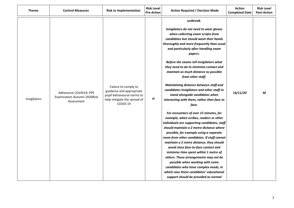| <b>Theme</b> | <b>Control Measures</b>                                                    | <b>Risk to Implementation</b>                                                                                                        | <b>Risk Level</b><br><b>Pre-Action</b> | <b>Action Required / Decision Made</b>                                                                                                                                                                                                                                                                                                                                                                                                                                                                                                                                                                                                                                                                                                                                                                                                                                                                                                                                                                                                                                                                                                                                                    | <b>Action</b><br><b>Completed Date</b> | <b>Risk Level</b><br><b>Post-Action</b> |
|--------------|----------------------------------------------------------------------------|--------------------------------------------------------------------------------------------------------------------------------------|----------------------------------------|-------------------------------------------------------------------------------------------------------------------------------------------------------------------------------------------------------------------------------------------------------------------------------------------------------------------------------------------------------------------------------------------------------------------------------------------------------------------------------------------------------------------------------------------------------------------------------------------------------------------------------------------------------------------------------------------------------------------------------------------------------------------------------------------------------------------------------------------------------------------------------------------------------------------------------------------------------------------------------------------------------------------------------------------------------------------------------------------------------------------------------------------------------------------------------------------|----------------------------------------|-----------------------------------------|
| Invigilators | Adherence COVID19: PPE<br><b>Examination Autumn 2020Risk</b><br>Assessment | Failure to comply to<br>guidance and appropriate<br>pupil behavioural norms to<br>help mitigate the spread of<br>COVID <sub>19</sub> | H                                      | outbreak.<br>Invigilators do not need to wear gloves<br>when collecting exam scripts from<br>candidates but should wash their hands<br>thoroughly and more frequently than usual<br>and particularly after handling exam<br>papers.<br>Before the exams tell invigilators what<br>they need to do to minimise contact and<br>maintain as much distance as possible<br>from other staff.<br>Maintaining distance between staff and<br>candidates Invigilators and other staff to<br>stand alongside candidates when<br>interacting with them, rather than face to<br>face.<br>For encounters of over 15 minutes, for<br>example, when scribes, readers or other<br>individuals are supporting candidates, staff<br>should maintain a 2 metre distance where<br>possible, for example using a separate<br>room from other candidates. If staff cannot<br>maintain a 2 metre distance, they should<br>avoid close face-to-face contact and<br>minimise time spent within 1 metre of<br>others. These arrangements may not be<br>possible when working with some<br>candidates who have complex needs, in<br>which case these candidates' educational<br>support should be provided as normal | 16/11/20                               | M                                       |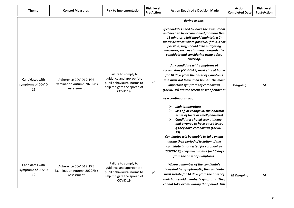| <b>Theme</b>                               | <b>Control Measures</b>                                                    | <b>Risk to Implementation</b>                                                                                                        | <b>Risk Level</b><br><b>Pre-Action</b> | <b>Action Required / Decision Made</b>                                                                                                                                                                                                                                                                                                                                                                                                                                                                                                                                                                                                                                                                                        | <b>Action</b><br><b>Completed Date</b> | <b>Risk Level</b><br><b>Post-Action</b> |
|--------------------------------------------|----------------------------------------------------------------------------|--------------------------------------------------------------------------------------------------------------------------------------|----------------------------------------|-------------------------------------------------------------------------------------------------------------------------------------------------------------------------------------------------------------------------------------------------------------------------------------------------------------------------------------------------------------------------------------------------------------------------------------------------------------------------------------------------------------------------------------------------------------------------------------------------------------------------------------------------------------------------------------------------------------------------------|----------------------------------------|-----------------------------------------|
|                                            |                                                                            |                                                                                                                                      |                                        | during exams.<br>If candidates need to leave the exam room<br>and need to be accompanied for more than<br>15 minutes, staff should maintain a 2-<br>metre distance where possible. If this is not<br>possible, staff should take mitigating<br>measures, such as standing alongside the<br>candidate and considering using a face<br>covering.                                                                                                                                                                                                                                                                                                                                                                                |                                        |                                         |
| Candidates with<br>symptoms of COVID<br>19 | Adherence COVID19: PPE<br><b>Examination Autumn 2020Risk</b><br>Assessment | Failure to comply to<br>guidance and appropriate<br>pupil behavioural norms to<br>help mitigate the spread of<br>COVID <sub>19</sub> | H                                      | Any candidate with symptoms of<br>coronavirus (COVID-19) must stay at home<br>for 10 days from the onset of symptoms<br>and must not leave their homes. The most<br>important symptoms of coronavirus<br>(COVID-19) are the recent onset of either a:<br>new continuous cough<br>high temperature<br>➤<br>loss of, or change in, their normal<br>⋗<br>sense of taste or smell (anosmia)<br>Candidates should stay at home<br>➤<br>and arrange to have a test to see<br>if they have coronavirus (COVID-<br>19).<br>Candidates will be unable to take exams<br>during their period of isolation. If the<br>candidate is not tested for coronavirus<br>(COVID-19), they must isolate for 10 days<br>from the onset of symptoms. | On-going                               | M                                       |
| Candidates with<br>symptoms of COVID<br>19 | Adherence COVID19: PPE<br><b>Examination Autumn 2020Risk</b><br>Assessment | Failure to comply to<br>guidance and appropriate<br>pupil behavioural norms to<br>help mitigate the spread of<br>COVID <sub>19</sub> | $\pmb H$                               | Where a member of the candidate's<br>household is symptomatic, the candidate<br>must isolate for 14 days from the onset of<br>their household member's symptoms. They<br>cannot take exams during that period. This                                                                                                                                                                                                                                                                                                                                                                                                                                                                                                           | M On-going                             | M                                       |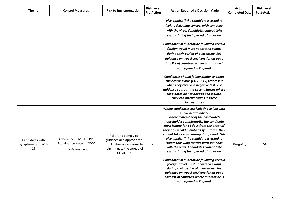| <b>Theme</b>                               | <b>Control Measures</b>                                                            | <b>Risk to Implementation</b>                                                                                                        | <b>Risk Level</b><br><b>Pre-Action</b> | <b>Action Required / Decision Made</b>                                                                                                                                                                                                                                                                                                                                                                                                                                                                                                                                                                                                                                                                                        | <b>Action</b><br><b>Completed Date</b> | <b>Risk Level</b><br><b>Post-Action</b> |
|--------------------------------------------|------------------------------------------------------------------------------------|--------------------------------------------------------------------------------------------------------------------------------------|----------------------------------------|-------------------------------------------------------------------------------------------------------------------------------------------------------------------------------------------------------------------------------------------------------------------------------------------------------------------------------------------------------------------------------------------------------------------------------------------------------------------------------------------------------------------------------------------------------------------------------------------------------------------------------------------------------------------------------------------------------------------------------|----------------------------------------|-----------------------------------------|
|                                            |                                                                                    |                                                                                                                                      |                                        | also applies if the candidate is asked to<br>isolate following contact with someone<br>with the virus. Candidates cannot take<br>exams during their period of isolation.<br>Candidates in quarantine following certain<br>foreign travel must not attend exams<br>during their period of quarantine. See<br>guidance on travel corridors for an up to<br>date list of countries where quarantine is<br>not required in England.<br>Candidates should follow guidance about<br>their coronavirus (COVID-19) test result<br>when they receive a negative test. The<br>quidance sets out the circumstances where<br>candidates do not need to self-isolate.<br>They can attend exams in these<br>circumstances.                  |                                        |                                         |
| Candidates with<br>symptoms of COVID<br>19 | Adherence COVID19: PPE<br><b>Examination Autumn 2020</b><br><b>Risk Assessment</b> | Failure to comply to<br>guidance and appropriate<br>pupil behavioural norms to<br>help mitigate the spread of<br>COVID <sub>19</sub> | H                                      | Where candidates are isolating in line with<br>public health advice<br>Where a member of the candidate's<br>household is symptomatic, the candidate<br>must isolate for 14 days from the onset of<br>their household member's symptoms. They<br>cannot take exams during that period. This<br>also applies if the candidate is asked to<br>isolate following contact with someone<br>with the virus. Candidates cannot take<br>exams during their period of isolation.<br>Candidates in quarantine following certain<br>foreign travel must not attend exams<br>during their period of quarantine. See<br>guidance on travel corridors for an up to<br>date list of countries where quarantine is<br>not required in England. | On-going                               | M                                       |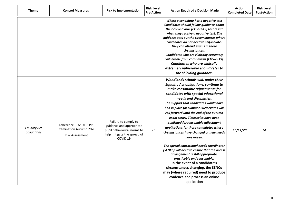| <b>Theme</b>                       | <b>Control Measures</b>                                                            | <b>Risk to Implementation</b>                                                                                                        | <b>Risk Level</b><br><b>Pre-Action</b> | <b>Action Required / Decision Made</b>                                                                                                                                                                                                                                                                                                                                                                                                                                                                                                                                                                                                                                                                                                                                                                                                     | <b>Action</b><br><b>Completed Date</b> | <b>Risk Level</b><br><b>Post-Action</b> |
|------------------------------------|------------------------------------------------------------------------------------|--------------------------------------------------------------------------------------------------------------------------------------|----------------------------------------|--------------------------------------------------------------------------------------------------------------------------------------------------------------------------------------------------------------------------------------------------------------------------------------------------------------------------------------------------------------------------------------------------------------------------------------------------------------------------------------------------------------------------------------------------------------------------------------------------------------------------------------------------------------------------------------------------------------------------------------------------------------------------------------------------------------------------------------------|----------------------------------------|-----------------------------------------|
|                                    |                                                                                    |                                                                                                                                      |                                        | Where a candidate has a negative test<br>Candidates should follow guidance about<br>their coronavirus (COVID-19) test result<br>when they receive a negative test. The<br>guidance sets out the circumstances where<br>candidates do not need to self-isolate.<br>They can attend exams in these<br>circumstances.<br>Candidates who are clinically extremely<br>vulnerable from coronavirus (COVID-19)<br><b>Candidates who are clinically</b><br>extremely vulnerable should refer to<br>the shielding guidance.                                                                                                                                                                                                                                                                                                                         |                                        |                                         |
| <b>Equality Act</b><br>obligations | Adherence COVID19: PPE<br><b>Examination Autumn 2020</b><br><b>Risk Assessment</b> | Failure to comply to<br>guidance and appropriate<br>pupil behavioural norms to<br>help mitigate the spread of<br>COVID <sub>19</sub> | H                                      | Woodlands schools will, under their<br><b>Equality Act obligations, continue to</b><br>make reasonable adjustments for<br>candidates with special educational<br>needs and disabilities.<br>The support that candidates would have<br>had in place for summer 2020 exams will<br>roll forward until the end of the autumn<br>exam series. Timescales have been<br>published for reasonable adjustment<br>applications for those candidates whose<br>circumstances have changed or new needs<br>have arisen.<br>The special educational needs coordinator<br>(SENCo) will need to ensure that the access<br>arrangement is still appropriate,<br>practicable and reasonable.<br>In the event of a candidate's<br>circumstances changing, the SENCo<br>may (where required) need to produce<br>evidence and process an online<br>application | 16/11/20                               | M                                       |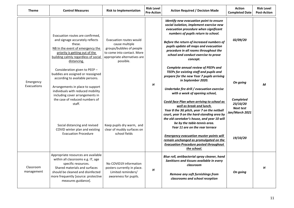| <b>Theme</b>             | <b>Control Measures</b>                                                                                                                                                                                                                                                                                                                                          | <b>Risk to Implementation</b>                                                                                                                    | <b>Risk Level</b><br><b>Pre-Action</b> | <b>Action Required / Decision Made</b>                                                                                                                                                                                                                                                                                                                                                                                                                                                                                                                                                                                                                                                        | <b>Action</b><br><b>Completed Date</b>                                                     | <b>Risk Level</b><br><b>Post-Action</b> |
|--------------------------|------------------------------------------------------------------------------------------------------------------------------------------------------------------------------------------------------------------------------------------------------------------------------------------------------------------------------------------------------------------|--------------------------------------------------------------------------------------------------------------------------------------------------|----------------------------------------|-----------------------------------------------------------------------------------------------------------------------------------------------------------------------------------------------------------------------------------------------------------------------------------------------------------------------------------------------------------------------------------------------------------------------------------------------------------------------------------------------------------------------------------------------------------------------------------------------------------------------------------------------------------------------------------------------|--------------------------------------------------------------------------------------------|-----------------------------------------|
|                          | Evacuation routes are confirmed,<br>and signage accurately reflects<br>these.<br>NB In the event of emergency the<br>priority is getting out of the<br>building calmly regardless of social<br>distancing.                                                                                                                                                       | Evacuation routes would<br>cause multiple<br>groups/bubbles of people<br>to come into contact. More<br>appropriate alternatives are<br>possible. |                                        | Identify new evacuation point to ensure<br>social isolation, implement exercise new<br>evacuation procedure when significant<br>numbers of pupils return to school.<br>Before the return of increased numbers of<br>pupils update all maps and evacuation<br>procedure in all rooms throughout the<br>school and conduct exercise to prove<br>concept.                                                                                                                                                                                                                                                                                                                                        | 02/09/20                                                                                   |                                         |
| Emergency<br>Evacuations | Consideration given to PEEP -<br>buddies are assigned or reassigned<br>according to available persons.<br>Arrangements in place to support<br>individuals with reduced mobility<br>including cover arrangements in<br>the case of reduced numbers of<br>staff.<br>Social distancing and revised<br>COVID winter plan and existing<br><b>Evacuation Procedure</b> | Keep pupils dry warm, and<br>clear of muddy surfaces on<br>school fields                                                                         | H                                      | <b>Complete annual review of PEEPs and</b><br>TEEPs for existing staff and pupils and<br>prepare for the new Year 7 pupils arriving<br>in September 2020.<br>Undertake fire drill / evacuation exercise<br>with a week of opening school,<br>Covid face Plan when arriving to school as<br>well as break and lunch.<br>Year 8 the 3G pitch, year 7 on the netball<br>court, year 9 on the hard-standing area by<br>the old caretaker's house, and year 10 will<br>be by the table-tennis area.<br>Year 11 are on the rear terrace<br><b>Emergency evacuation muster points will</b><br>remain unchanged as promulgated on the<br><b>Evacuation Procedure posted throughout</b><br>the school. | On going<br><b>Completed</b><br>23/10/20<br><b>Next test</b><br>Jan/March 2021<br>19/10/20 | M                                       |
| Classroom<br>management  | Appropriate resources are available<br>within all classrooms e.g. IT, age<br>specific resources.<br>Shared materials and surfaces<br>should be cleaned and disinfected<br>more frequently [source: protective<br>measures guidance].                                                                                                                             | No COVID19 information<br>posters currently in place.<br>Limited reminders/<br>awareness for pupils.                                             | H                                      | Blue roll, antibacterial spray cleaner, hand<br>Sanitisers and tissues available in every<br>classroom<br>Remove any soft furnishings from<br>classrooms and school reception                                                                                                                                                                                                                                                                                                                                                                                                                                                                                                                 | On going                                                                                   | H                                       |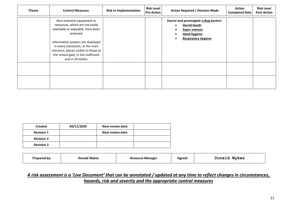| <b>Theme</b> | <b>Control Measures</b>                                                                                                                                                                                                                                                                  | <b>Risk to Implementation</b> | <b>Risk Level</b><br><b>Pre-Action</b> | <b>Action Required / Decision Made</b>                                                                                                  | <b>Action</b><br><b>Completed Date</b> | <b>Risk Level</b><br><b>Post-Action</b> |
|--------------|------------------------------------------------------------------------------------------------------------------------------------------------------------------------------------------------------------------------------------------------------------------------------------------|-------------------------------|----------------------------------------|-----------------------------------------------------------------------------------------------------------------------------------------|----------------------------------------|-----------------------------------------|
|              | Non-essential equipment or<br>resources, which are not easily<br>washable or wipeable, have been<br>removed.<br>Information posters are displayed<br>in every classroom, at the main<br>entrance, places visible to those at<br>the school gate, in the staffroom<br>and in all toilets. |                               |                                        | Source and promulgate e-Bug posters<br><b>Horrid hands</b><br><b>Super sneezes</b><br><b>Hand hygiene</b><br><b>Respiratory hygiene</b> |                                        |                                         |
|              |                                                                                                                                                                                                                                                                                          |                               |                                        |                                                                                                                                         |                                        |                                         |

| <b>Created</b>    | 04/11/2020 | Next review date: |  |
|-------------------|------------|-------------------|--|
| <b>Revision 1</b> |            | Next review date: |  |
| <b>Revision 2</b> |            |                   |  |
| <b>Revision 3</b> |            |                   |  |

| Prepared by: | <b>Donald Wykes</b> | <b>Resource Manager</b> | Signed: | <b>Wykes</b><br>Donald |
|--------------|---------------------|-------------------------|---------|------------------------|
|--------------|---------------------|-------------------------|---------|------------------------|

## *A risk assessment is a 'Live Document' that can be annotated / updated at any time to reflect changes in circumstances, hazards, risk and severity and the appropriate control measures*